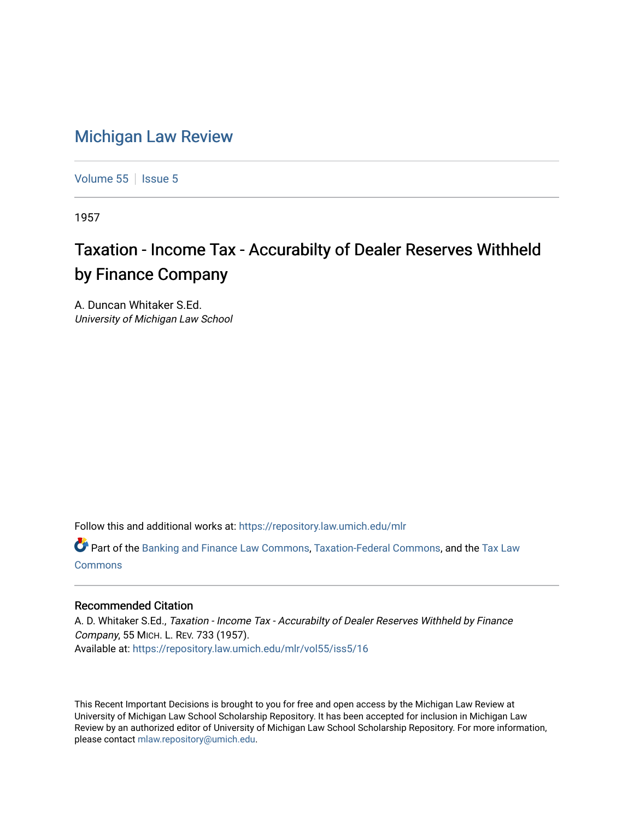## [Michigan Law Review](https://repository.law.umich.edu/mlr)

[Volume 55](https://repository.law.umich.edu/mlr/vol55) | [Issue 5](https://repository.law.umich.edu/mlr/vol55/iss5)

1957

## Taxation - Income Tax - Accurabilty of Dealer Reserves Withheld by Finance Company

A. Duncan Whitaker S.Ed. University of Michigan Law School

Follow this and additional works at: [https://repository.law.umich.edu/mlr](https://repository.law.umich.edu/mlr?utm_source=repository.law.umich.edu%2Fmlr%2Fvol55%2Fiss5%2F16&utm_medium=PDF&utm_campaign=PDFCoverPages) 

Part of the [Banking and Finance Law Commons,](http://network.bepress.com/hgg/discipline/833?utm_source=repository.law.umich.edu%2Fmlr%2Fvol55%2Fiss5%2F16&utm_medium=PDF&utm_campaign=PDFCoverPages) [Taxation-Federal Commons,](http://network.bepress.com/hgg/discipline/881?utm_source=repository.law.umich.edu%2Fmlr%2Fvol55%2Fiss5%2F16&utm_medium=PDF&utm_campaign=PDFCoverPages) and the [Tax Law](http://network.bepress.com/hgg/discipline/898?utm_source=repository.law.umich.edu%2Fmlr%2Fvol55%2Fiss5%2F16&utm_medium=PDF&utm_campaign=PDFCoverPages) [Commons](http://network.bepress.com/hgg/discipline/898?utm_source=repository.law.umich.edu%2Fmlr%2Fvol55%2Fiss5%2F16&utm_medium=PDF&utm_campaign=PDFCoverPages)

## Recommended Citation

A. D. Whitaker S.Ed., Taxation - Income Tax - Accurabilty of Dealer Reserves Withheld by Finance Company, 55 MICH. L. REV. 733 (1957). Available at: [https://repository.law.umich.edu/mlr/vol55/iss5/16](https://repository.law.umich.edu/mlr/vol55/iss5/16?utm_source=repository.law.umich.edu%2Fmlr%2Fvol55%2Fiss5%2F16&utm_medium=PDF&utm_campaign=PDFCoverPages) 

This Recent Important Decisions is brought to you for free and open access by the Michigan Law Review at University of Michigan Law School Scholarship Repository. It has been accepted for inclusion in Michigan Law Review by an authorized editor of University of Michigan Law School Scholarship Repository. For more information, please contact [mlaw.repository@umich.edu.](mailto:mlaw.repository@umich.edu)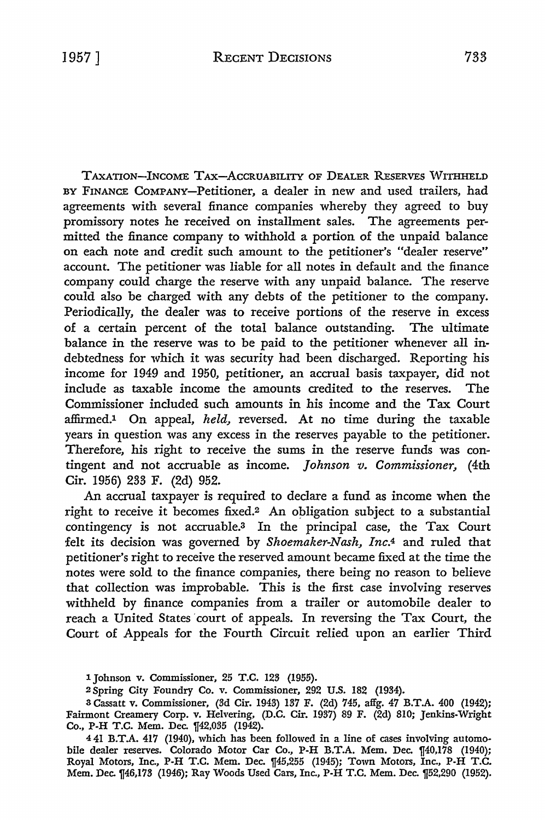TAXATION-INCOME TAX-ACCRUABILITY OF DEALER RESERVES WITHHELD BY FINANCE COMPANY-Petitioner, a dealer in new and used trailers, had agreements with several finance companies whereby they agreed to buy promissory notes he received on installment sales. The agreements permitted the finance company to withhold a portion of the unpaid balance on each note and credit such amount to the petitioner's "dealer reserve" account. The petitioner was liable for all notes in default and the finance company could charge the reserve with any unpaid balance. The reserve could also be charged with any debts of the petitioner to the company. Periodically, the dealer was to receive portions of the reserve in excess of a certain percent of the total balance outstanding. The ultimate balance in the reserve was to be paid to the petitioner whenever all indebtedness for which it was security had been discharged. Reporting his income for 1949 and 1950, petitioner, an accrual basis taxpayer, did not include as taxable income the amounts credited to the reserves. The Commissioner included such amounts in his income and the Tax Court affirmed.1 On appeal, *held,* reversed. At no time during the taxable years in question was any excess in the reserves payable to the petitioner. Therefore, his right to receive the sums in the reserve funds was contingent and not accruable as income. *Johnson v. Commissioner,* (4th Cir. 1956) 233 F. (2d) 952.

An accrual taxpayer is required to declare a fund as income when the right to receive it becomes fixed.2 An obligation subject to a substantial contingency is not accruable.3 In the principal case, the Tax Court felt its decision was governed by *Shoemaker-Nash, Inc.*4 and ruled that petitioner's right to receive the reserved amount became fixed at the time the notes were sold to the finance companies, there being no reason to believe that collection was improbable. This is the first case involving reserves withheld by finance companies from a trailer or automobile dealer to reach a United States court of appeals. In reversing the Tax Court, the Court of Appeals for the Fourth Circuit relied upon an earlier Third

l Johnson v. Commissioner, 25 T.C. 123 (1955).

<sup>2</sup> Spring City Foundry Co. v. Commissioner, 292 U.S. 182 (1934).

<sup>3</sup> Cassatt v. Commissioner, (3d Cir. 1943) 137 F. (2d) 745, affg. 47 B.T.A. 400 (1942); Fairmont Creamery Corp. v. Helvering, (D.C. Cir. 1937) 89 F. (2d) 810; Jenkins-Wright Co., P-H T.C. Mem. Dec. [42,035 (1942).

<sup>4 41</sup> B.T.A. 417 (1940), which has been followed in a line of cases involving automobile dealer reserves. Colorado Motor Car Co., P-H B.T.A. Mem. Dec.  $\P$ 40,178 (1940); Royal Motors, Inc., P-H T.C. Mem. Dec.  $\P{45,255}$  (1945); Town Motors, Inc., P-H T.C. Mem. Dec. 146,173 (1946); Ray Woods Used Cars, Inc., P-H T.C. Mem. Dec. 152,290 (1952).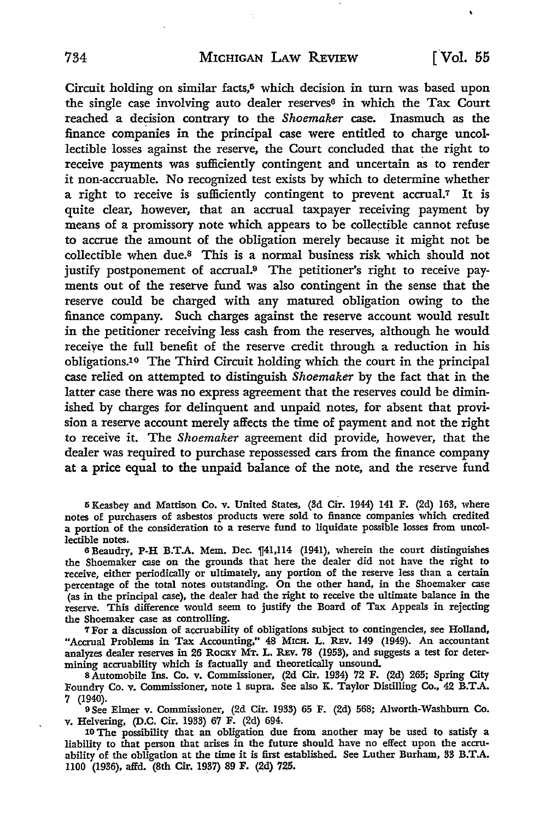Circuit holding on similar facts,<sup>5</sup> which decision in turn was based upon the single case involving auto dealer reserves<sup>6</sup> in which the Tax Court reached a decision contrary to the *Shoemaker* case. Inasmuch as the finance companies in the principal case were entitled to charge uncollectible losses against the reserve, the Court concluded that the right to receive payments was sufficiently contingent and uncertain as to render it non-accruable. No recognized test exists by which to determine whether a right to receive is sufficiently contingent to prevent accrual.7 It is quite clear, however, that an accrual taxpayer receiving payment by means of a promissory note which appears to be collectible cannot refuse to accrue the amount of the obligation merely because it might not be collectible when due.8 This is a normal business risk which should not justify postponement of accrual.9 The petitioner's right to receive payments out of the reserve fund was also contingent in the sense that the reserve could be charged with any matured obligation owing to the finance company. Such charges against the reserve account would result in the petitioner receiving less cash from the reserves, although he would receiye the full benefit of the reserve credit through a reduction in his obligations.10 The Third Circuit holding which the court in the principal case relied on attempted to distinguish *Shoemaker* by the fact that in the latter case there was no express agreement that the reserves could be diminished by charges for delinquent and unpaid notes, for absent that provision a reserve account merely affects the time of payment and not the right to receive it. The *Shoemaker* agreement did provide, however, that the dealer was required to purchase repossessed cars from the finance company at a price equal to the unpaid balance of the note, and the reserve fund

5 Keasbey and Mattison Co. v. United States, (3d Cir. 1944) 141 F. (2d) 163, where notes of purchasers of asbestos products were sold to finance companies which credited a portion of the consideration to a reserve fund to liquidate possible losses from uncollectible notes.

6 Beaudry, P-H B.T.A. Mem. Dec.  $\P41,114$  (1941), wherein the court distinguishes the Shoemaker case on the grounds that here the dealer did not have the right to receive, either periodically or ultimately, any portion of the reserve less than a certain percentage of the total notes outstanding. On the other hand, in the Shoemaker case (as in the principal case), the dealer had the right to receive the ultimate balance in the reserve. This difference would seem to justify the Board of Tax Appeals in rejecting the Shoemaker case as controlling.

7 For a discussion of accruability of obligations subject to contingencies, see Holland, "Accrual Problems in Tax Accounting," 48 MICH. L. REV. 149 (1949). An accountant analyzes dealer reserves in 26 ROCKY MT. L. REV. 78 (1953), and suggests a test for determining accruability which is factually and theoretically unsound.

s Automobile Ins. Co. v. Commissioner, (2d Cir. 1934) 72 F. (2d) 265; Spring City Foundry Co. v. Commissioner, note 1 supra. See also K. Taylor Distilling Co., 42 B.T .A. 7 (1940).

9 See Elmer v. Commissioner, (2d Cir. 1933) 65 F. (2d) 568; Alworth-Washbum Co. v. Helvering, (D.C. Cir. 1933) 67 F. (2d) 694.

10 The possibility that an obligation due from another may be used to satisfy a liability to that person that arises in the future should have no effect upon the accruability of the obligation at the time it is first established. See Luther Burham, 33 B.T.A. IIOO (1936), affd. (8th Cir. 1937) 89 F. (2d) 725.